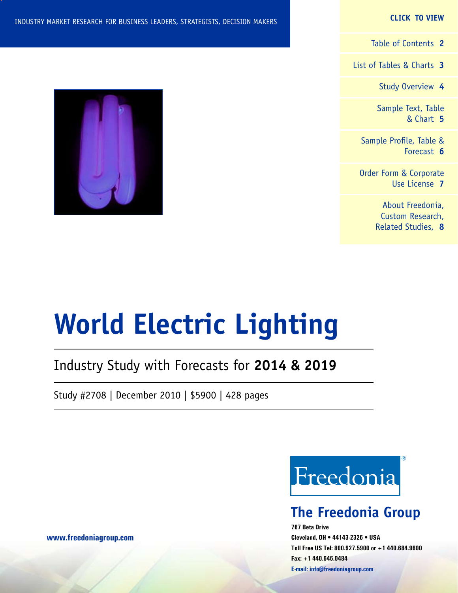#### **CLICK TO VIEW**

[Table of Contents](#page-1-0) **2**

[List of Tables & Charts](#page-2-0) **3**

[Study Overview](#page-3-0) **4**

[Sample Text, Table](#page-4-0) [& Chart](#page-4-0) **5**

[Sample Profile, Table &](#page-5-0) [Forecast](#page-5-0) **6**

[Order Form & Corporate](#page-6-0) [Use License](#page-6-0) **7**

> [About Freedonia,](#page-7-0) [Custom Research,](#page-7-0) [Related Studies,](#page-7-0) **8**



# **World Electric Lighting**

# Industry Study with Forecasts for **2014 & 2019**

Study #2708 | December 2010 | \$5900 | 428 pages



# **The Freedonia Group**

**767 Beta Drive Cleveland, OH • 44143-2326 • USA Toll Free US Tel: 800.927.5900 or +1 440.684.9600 Fax: +1 440.646.0484 E-mail: [info@freedoniagroup.com](mailto:info@freedoniagroup.com)**

**[www.freedoniagroup.com](http://www.freedoniagroup.com/Home.aspx?ReferrerId=FM-Bro)**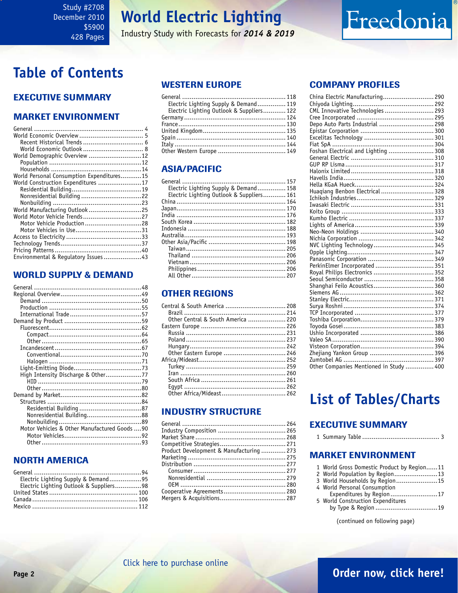# **World Electric Lighting**

Industry Study with Forecasts for *2014 & 2019*

# Freedonia

# <span id="page-1-0"></span>**Table of Contents**

## Executive Summary

## Market EnvironmenT

| World Demographic Overview 12             |  |
|-------------------------------------------|--|
|                                           |  |
|                                           |  |
| World Personal Consumption Expenditures15 |  |
| World Construction Expenditures 17        |  |
|                                           |  |
| Nonresidential Building 22                |  |
|                                           |  |
| World Manufacturing Outlook 25            |  |
| World Motor Vehicle Trends27              |  |
| Motor Vehicle Production28                |  |
|                                           |  |
|                                           |  |
|                                           |  |
|                                           |  |
| Environmental & Regulatory Issues 43      |  |

## WORLD SUPPLY & DEMAND

| High Intensity Discharge & Other77           |  |
|----------------------------------------------|--|
|                                              |  |
|                                              |  |
|                                              |  |
|                                              |  |
|                                              |  |
| Nonresidential Building88                    |  |
|                                              |  |
|                                              |  |
| Motor Vehicles & Other Manufactured Goods 90 |  |
|                                              |  |
|                                              |  |

## NORTH AMERICA

| Electric Lighting Supply & Demand95     |  |
|-----------------------------------------|--|
| Electric Lighting Outlook & Suppliers98 |  |
|                                         |  |
|                                         |  |
|                                         |  |

## WESTERN EUROPE

| Electric Lighting Supply & Demand 119     |  |
|-------------------------------------------|--|
| Electric Lighting Outlook & Suppliers 122 |  |
|                                           |  |
|                                           |  |
|                                           |  |
|                                           |  |
|                                           |  |
|                                           |  |
|                                           |  |

## ASIA/PACIFIC

| Electric Lighting Supply & Demand 158     |  |
|-------------------------------------------|--|
| Electric Lighting Outlook & Suppliers 161 |  |
|                                           |  |
|                                           |  |
|                                           |  |
|                                           |  |
|                                           |  |
|                                           |  |
|                                           |  |
|                                           |  |
|                                           |  |
|                                           |  |
|                                           |  |
|                                           |  |
|                                           |  |

## OTHER REGIONS

| Central & South America  208       |  |
|------------------------------------|--|
|                                    |  |
| Other Central & South America  220 |  |
|                                    |  |
|                                    |  |
|                                    |  |
|                                    |  |
|                                    |  |
|                                    |  |
|                                    |  |
|                                    |  |
|                                    |  |
|                                    |  |
|                                    |  |
|                                    |  |

## INDUSTRY STRUCTURE

| Product Development & Manufacturing  273 |  |
|------------------------------------------|--|
|                                          |  |
|                                          |  |
|                                          |  |
|                                          |  |
|                                          |  |
| Cooperative Agreements 280               |  |
|                                          |  |
|                                          |  |

## Company Profiles

| China Electric Manufacturing 290        |  |
|-----------------------------------------|--|
|                                         |  |
| CML Innovative Technologies  293        |  |
|                                         |  |
|                                         |  |
|                                         |  |
|                                         |  |
|                                         |  |
| Foshan Electrical and Lighting  308     |  |
|                                         |  |
|                                         |  |
|                                         |  |
|                                         |  |
|                                         |  |
| Huaqiang Benbon Electrical  328         |  |
|                                         |  |
|                                         |  |
|                                         |  |
|                                         |  |
|                                         |  |
|                                         |  |
|                                         |  |
| NVC Lighting Technology 345             |  |
|                                         |  |
|                                         |  |
| PerkinElmer Incorporated  351           |  |
| Royal Philips Electronics  352          |  |
|                                         |  |
| Shanghai Feilo Acoustics 360            |  |
|                                         |  |
|                                         |  |
|                                         |  |
|                                         |  |
|                                         |  |
|                                         |  |
|                                         |  |
|                                         |  |
|                                         |  |
|                                         |  |
|                                         |  |
| Other Companies Mentioned in Study  400 |  |

# **List of Tables/Charts**

## Executive Summary

1 Summary Table ......................................... 3

## Market EnvironmenT

| 1 World Gross Domestic Product by Region11 |  |
|--------------------------------------------|--|
| 2 World Population by Region13             |  |
| 3 World Households by Region15             |  |
| 4 World Personal Consumption               |  |
| Expenditures by Region17                   |  |
| 5 World Construction Expenditures          |  |
|                                            |  |

(continued on following page)

**Page 2 [Order now, click here!](#page-6-0)**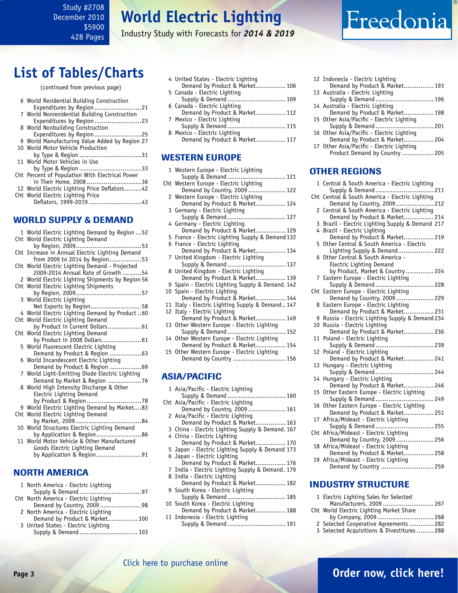### <span id="page-2-0"></span>Study #2708 December 2010 \$5900 428 Pages

# **World Electric Lighting**

Industry Study with Forecasts for *2014 & 2019*

# Freedonia

# **List of Tables/Charts**

| (continued from previous page) |  |  |
|--------------------------------|--|--|
|                                |  |  |
|                                |  |  |

| 6 World Residential Building Construction<br>Expenditures by Region21 |  |
|-----------------------------------------------------------------------|--|
| 7 World Nonresidential Building Construction                          |  |
| Expenditures by Region23                                              |  |
| 8 World Nonbuilding Construction                                      |  |
| Expenditures by Region25                                              |  |
| 9 World Manufacturing Value Added by Region 27                        |  |
| 10 World Motor Vehicle Production                                     |  |
| by Type & Region 31                                                   |  |
| 11 World Motor Vehicles in Use                                        |  |
| by Type & Region 33                                                   |  |
| Cht Percent of Population With Electrical Power                       |  |
| in Their Home, 200836                                                 |  |
| 12 World Electric Lighting Price Deflators42                          |  |
| Cht World Electric Lighting Price                                     |  |
| Deflators, 1999-2019 43                                               |  |
|                                                                       |  |

## WORLD SUPPLY & DEMAND

| 1 World Electric Lighting Demand by Region  52                                 |
|--------------------------------------------------------------------------------|
| Cht World Electric Lighting Demand                                             |
| Cht Increase in Annual Electric Lighting Demand                                |
| from 2009 to 2014 by Region53                                                  |
| Cht World Electric Lighting Demand - Projected                                 |
| 2009-2014 Annual Rate of Growth 54                                             |
| 2 World Electric Lighting Shipments by Region 56                               |
| Cht World Electric Lighting Shipments                                          |
|                                                                                |
| 3 World Electric Lighting<br>Net Exports by Region58                           |
| 4 World Electric Lighting Demand by Product  60                                |
| Cht World Electric Lighting Demand                                             |
| by Product in Current Dollars 61                                               |
| Cht World Electric Lighting Demand                                             |
| by Product in 2008 Dollars 61                                                  |
| 5 World Fluorescent Electric Lighting                                          |
| Demand by Product & Region  63                                                 |
| 6 World Incandescent Electric Lighting                                         |
| Demand by Product & Region 69                                                  |
| 7 World Light-Emitting Diode Electric Lighting<br>Demand by Market & Region 76 |
| 8 World High Intensity Discharge & Other                                       |
| Electric Lighting Demand                                                       |
|                                                                                |
| 9 World Electric Lighting Demand by Market83                                   |
| Cht World Electric Lighting Demand                                             |
|                                                                                |
| 10 World Structures Electric Lighting Demand                                   |
| by Application & Region86                                                      |
| 11 World Motor Vehicle & Other Manufactured                                    |
| Goods Electric Lighting Demand<br>by Application & Region91                    |
|                                                                                |
|                                                                                |
| NORTH AMERICA                                                                  |

## <u>RIH AMERICA</u>

| 1 North America - Electric Lighting   |  |
|---------------------------------------|--|
|                                       |  |
| Cht North America - Electric Lighting |  |
| Demand by Country, 2009 98            |  |
| 2 North America - Electric Lighting   |  |
| Demand by Product & Market 100        |  |
| 3 United States - Electric Lighting   |  |
| Supply & Demand 103                   |  |

| 4 United States - Electric Lighting<br>Demand by Product & Market 106 |
|-----------------------------------------------------------------------|
| 5 Canada - Electric Lighting                                          |
| Supply & Demand  109                                                  |
| 6 Canada - Electric Lighting                                          |
| Demand by Product & Market 112                                        |
| 7 Mexico - Electric Lighting                                          |
| Supply & Demand 115                                                   |
| 8 Mexico - Electric Lighting                                          |
| Demand by Product & Market 117                                        |

### WESTERN EUROPE

| 1 Western Europe - Electric Lighting<br>Supply & Demand 121                      |
|----------------------------------------------------------------------------------|
| Cht Western Europe - Electric Lighting                                           |
| Demand by Country, 2009 122                                                      |
| 2 Western Europe - Electric Lighting                                             |
| Demand by Product & Market 124                                                   |
| 3 Germany - Electric Lighting                                                    |
| Supply & Demand  127                                                             |
| 4 Germany - Electric Lighting                                                    |
| Demand by Product & Market 129                                                   |
| 5 France - Electric Lighting Supply & Demand 132<br>6 France - Electric Lighting |
| Demand by Product & Market 134                                                   |
| 7 United Kingdom - Electric Lighting                                             |
| Supply & Demand  137                                                             |
| 8 United Kingdom - Electric Lighting                                             |
| Demand by Product & Market 139                                                   |
| 9 Spain - Electric Lighting Supply & Demand. 142                                 |
| 10 Spain - Electric Lighting                                                     |
| Demand by Product & Market 144                                                   |
| 11 Italy - Electric Lighting Supply & Demand 147                                 |
| 12 Italy - Electric Lighting                                                     |
| Demand by Product & Market 149                                                   |
| 13 Other Western Europe - Electric Lighting                                      |
| Supply & Demand 152                                                              |
| 14 Other Western Europe - Electric Lighting                                      |
| Demand by Product & Market 154                                                   |
| 15 Other Western Europe - Electric Lighting                                      |

## ASIA/PACIFIC

| Supply & Demand 160                              |
|--------------------------------------------------|
|                                                  |
| Demand by Country, 2009 161                      |
|                                                  |
| Demand by Product & Market 163                   |
| 3 China - Electric Lighting Supply & Demand. 167 |
|                                                  |
| Demand by Product & Market 170                   |
| 5 Japan - Electric Lighting Supply & Demand 173  |
|                                                  |
| Demand by Product & Market 176                   |
| 7 India - Electric Lighting Supply & Demand. 179 |
|                                                  |
| Demand by Product & Market 182                   |
|                                                  |
| Supply & Demand  185                             |
|                                                  |
| Demand by Product & Market 188                   |
|                                                  |

Demand by Country ............................ 156

- 11 Indonesia Electric Lighting
- Supply & Demand ............................... 191

| 12 Indonesia - Electric Lighting          |  |
|-------------------------------------------|--|
| Demand by Product & Market 193            |  |
| 13 Australia - Electric Lighting          |  |
| Supply & Demand  196                      |  |
| 14 Australia - Electric Lighting          |  |
| Demand by Product & Market 198            |  |
| 15 Other Asia/Pacific - Electric Lighting |  |
| Supply & Demand 201                       |  |
| 16 Other Asia/Pacific - Electric Lighting |  |
| Demand by Product & Market 204            |  |
| 17 Other Asia/Pacific - Electric Lighting |  |
| Product Demand by Country  205            |  |

#### OTHER REGIONS

|     | 1 Central & South America - Electric Lighting                           |
|-----|-------------------------------------------------------------------------|
|     | Supply & Demand  211<br>Cht Central & South America - Electric Lighting |
|     | Demand by Country, 2009 212                                             |
|     | 2 Central & South America - Electric Lighting                           |
|     | Demand by Product & Market 214                                          |
| 3   | Brazil - Electric Lighting Supply & Demand 217                          |
|     | 4 Brazil - Electric Lighting                                            |
|     | Demand by Product & Market 219                                          |
|     | 5 Other Central & South America - Electric                              |
|     | Lighting Supply & Demand 222                                            |
|     | 6 Other Central & South America -                                       |
|     | Electric Lighting Demand                                                |
| 7   | by Product, Market & Country 224<br>Eastern Europe - Electric Lighting  |
|     | Supply & Demand  228                                                    |
| Cht | Eastern Europe - Electric Lighting                                      |
|     | Demand by Country, 2009  229                                            |
|     | 8 Eastern Europe - Electric Lighting                                    |
|     | Demand by Product & Market 231                                          |
| 9   | Russia - Electric Lighting Supply & Demand 234                          |
| 10  | Russia - Electric Lighting                                              |
|     | Demand by Product & Market 236                                          |
| 11  | Poland - Electric Lighting                                              |
|     | Supply & Demand  239                                                    |
| 12  | Poland - Electric Lighting<br>Demand by Product & Market 241            |
| 13  | Hungary - Electric Lighting                                             |
|     | Supply & Demand  244                                                    |
| 14  | Hungary - Electric Lighting                                             |
|     | Demand by Product & Market 246                                          |
| 15  | Other Eastern Europe - Electric Lighting                                |
|     | Supply & Demand  249                                                    |
| 16  | Other Eastern Europe - Electric Lighting                                |
|     | Demand by Product & Market 251                                          |
| 17  | Africa/Mideast - Electric Lighting                                      |
|     | Supply & Demand  255                                                    |
|     | Cht Africa/Mideast - Electric Lighting<br>Demand by Country, 2009  256  |
| 18  | Africa/Mideast - Electric Lighting                                      |
|     | Demand by Product & Market 258                                          |
|     | 19 Africa/Mideast - Electric Lighting                                   |
|     | Demand by Country  259                                                  |

### INDUSTRY STRUCTURE

| 1 Electric Lighting Sales for Selected      |  |
|---------------------------------------------|--|
| Manufacturers, 2009  267                    |  |
| Cht World Electric Lighting Market Share    |  |
| by Company, 2009  268                       |  |
| 2 Selected Cooperative Agreements  282      |  |
| 3 Selected Acquisitions & Divestitures  288 |  |
|                                             |  |

**Page 3 [Order now, click here!](#page-6-0)**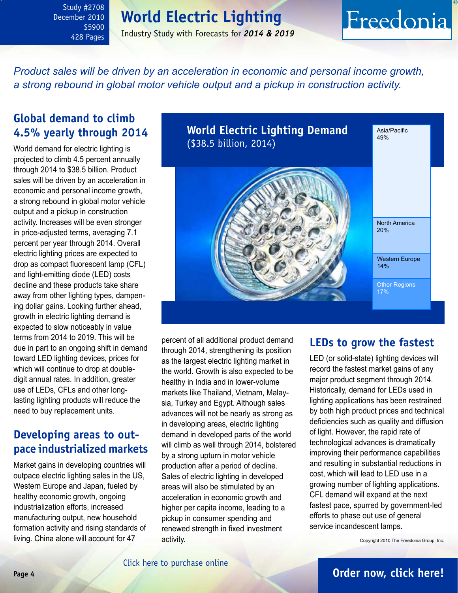<span id="page-3-0"></span>Study #2708 December 2010 \$5900 428 Pages

# **World Electric Lighting**

Industry Study with Forecasts for *2014 & 2019*

# Freedonia

*Product sales will be driven by an acceleration in economic and personal income growth, a strong rebound in global motor vehicle output and a pickup in construction activity.* 

## **Global demand to climb 4.5% yearly through 2014**

World demand for electric lighting is projected to climb 4.5 percent annually through 2014 to \$38.5 billion. Product sales will be driven by an acceleration in economic and personal income growth, a strong rebound in global motor vehicle output and a pickup in construction activity. Increases will be even stronger in price-adjusted terms, averaging 7.1 percent per year through 2014. Overall electric lighting prices are expected to drop as compact fluorescent lamp (CFL) and light-emitting diode (LED) costs decline and these products take share away from other lighting types, dampening dollar gains. Looking further ahead, growth in electric lighting demand is expected to slow noticeably in value terms from 2014 to 2019. This will be due in part to an ongoing shift in demand toward LED lighting devices, prices for which will continue to drop at doubledigit annual rates. In addition, greater use of LEDs, CFLs and other longlasting lighting products will reduce the need to buy replacement units.

## **Developing areas to outpace industrialized markets**

Market gains in developing countries will outpace electric lighting sales in the US, Western Europe and Japan, fueled by healthy economic growth, ongoing industrialization efforts, increased manufacturing output, new household formation activity and rising standards of living. China alone will account for 47



percent of all additional product demand through 2014, strengthening its position as the largest electric lighting market in the world. Growth is also expected to be healthy in India and in lower-volume markets like Thailand, Vietnam, Malaysia, Turkey and Egypt. Although sales advances will not be nearly as strong as in developing areas, electric lighting demand in developed parts of the world will climb as well through 2014, bolstered by a strong upturn in motor vehicle production after a period of decline. Sales of electric lighting in developed areas will also be stimulated by an acceleration in economic growth and higher per capita income, leading to a pickup in consumer spending and renewed strength in fixed investment activity.

## **LEDs to grow the fastest**

LED (or solid-state) lighting devices will record the fastest market gains of any major product segment through 2014. Historically, demand for LEDs used in lighting applications has been restrained by both high product prices and technical deficiencies such as quality and diffusion of light. However, the rapid rate of technological advances is dramatically improving their performance capabilities and resulting in substantial reductions in cost, which will lead to LED use in a growing number of lighting applications. CFL demand will expand at the next fastest pace, spurred by government-led efforts to phase out use of general service incandescent lamps.

Copyright 2010 The Freedonia Group, Inc.

## **Page 4 [Order now, click here!](#page-6-0)**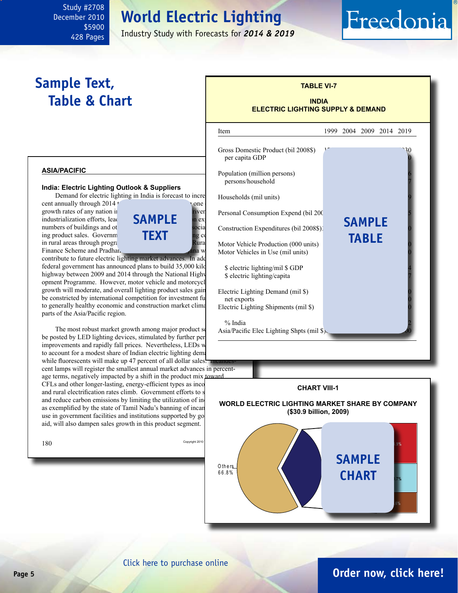# **World Electric Lighting**

Industry Study with Forecasts for *2014 & 2019*

# **Sample Text, Table & Chart**

<span id="page-4-0"></span>Study #2708 December 2010

> \$5900 428 Pages

## **TABLE VI-7**

Freedonia

#### **INDIA ELECTRIC LIGHTING SUPPLY & DEMAND**

#### **ASIA/PACIFIC**

#### **India: Electric Lighting Outlook & Suppliers**

Demand for electric lighting in India is forecast to incre



contribute to future electric lighting market advances. In add federal government has announced plans to build 35,000 kilometers highway between 2009 and 2014 through the National Highway opment Programme. However, motor vehicle and motorcycle growth will moderate, and overall lighting product sales gain be constricted by international competition for investment fu to generally healthy economic and construction market climates parts of the Asia/Pacific region.

The most robust market growth among major product so be posted by LED lighting devices, stimulated by further per improvements and rapidly fall prices. Nevertheless, LEDs w to account for a modest share of Indian electric lighting dem while fluorescents will make up 47 percent of all dollar sales.

cent lamps will register the smallest annual market advances in percentage terms, negatively impacted by a shift in the product mix toward CFLs and other longer-lasting, energy-efficient types as incoand rural electrification rates climb. Government efforts to s and reduce carbon emissions by limiting the utilization of inas exemplified by the state of Tamil Nadu's banning of incan use in government facilities and institutions supported by go aid, will also dampen sales growth in this product segment.



#### $180$  Copyright 2010 **CHART VIII-1 WORLD ELECTRIC LIGHTING MARKET SHARE BY COMPANY (\$30.9 billion, 2009) SAMP** L e a d e rs 3 3 .2 % **chart**O th e rs 6 6 .8 % **Ph ilip s 14.9%**

### [Click here to purchase online](http://www.freedoniagroup.com/DocumentDetails.aspx?Referrerid=FM-Bro&StudyID=2708)

# **Page 5 [Order now, click here!](#page-6-0)**

**7.6%**

**10.7%**

**G E L ig h t in g**

**O sram**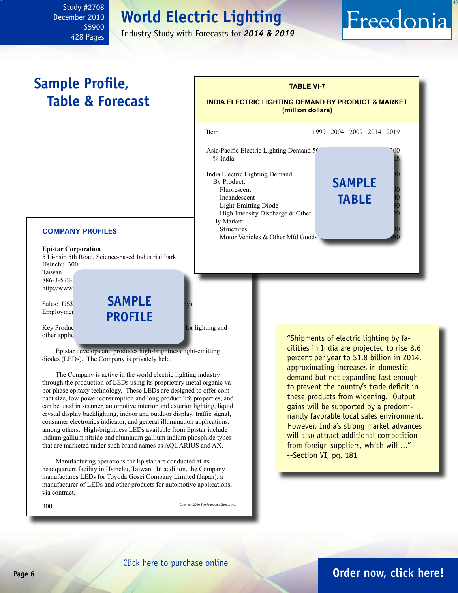### <span id="page-5-0"></span>Study #2708 December 2010 \$5900 428 Pages

# **World Electric Lighting**

Industry Study with Forecasts for *2014 & 2019*

# Freedonia

# **Sample Profile, Table & Forecast**

# **TABLE VI-7**

**INDIA ELECTRIC LIGHTING DEMAND BY PRODUCT & MARKET (million dollars)**



#### **COMPANY PROFILES**

**Epistar Corporation** 5 Li-hsin 5th Road, Science-based Industrial Park Hsinchu 300

Taiwan 886-3-578-3 http://www.

Sales: US\$<sup>58</sup> **SAMPLE** Employmer<br> **PROFILE** 

Key Products: high-brightness lightness lightness lightness lightness lightness lightness lightness lightness lightness lightness lightness lightness lightness lightness. other applic

Epistar develops and produces high-brightness light-emitting diodes (LEDs). The Company is privately held.

The Company is active in the world electric lighting industry through the production of LEDs using its proprietary metal organic vapor phase epitaxy technology. These LEDs are designed to offer compact size, low power consumption and long product life properties, and can be used in scanner, automotive interior and exterior lighting, liquid crystal display backlighting, indoor and outdoor display, traffic signal, consumer electronics indicator, and general illumination applications, among others. High-brightness LEDs available from Epistar include indium gallium nitride and aluminum gallium indium phosphide types that are marketed under such brand names as AQUARIUS and AX.

Manufacturing operations for Epistar are conducted at its headquarters facility in Hsinchu, Taiwan. In addition, the Company manufactures LEDs for Toyoda Gosei Company Limited (Japan), a manufacturer of LEDs and other products for automotive applications, via contract.

300 Copyright 2010 The Freedonia Group, Inc.

"Shipments of electric lighting by facilities in India are projected to rise 8.6 percent per year to \$1.8 billion in 2014, approximating increases in domestic demand but not expanding fast enough to prevent the country's trade deficit in these products from widening. Output gains will be supported by a predominantly favorable local sales environment. However, India's strong market advances will also attract additional competition from foreign suppliers, which will ..." --Section VI, pg. 181

## **Page 6 [Order now, click here!](#page-6-0)**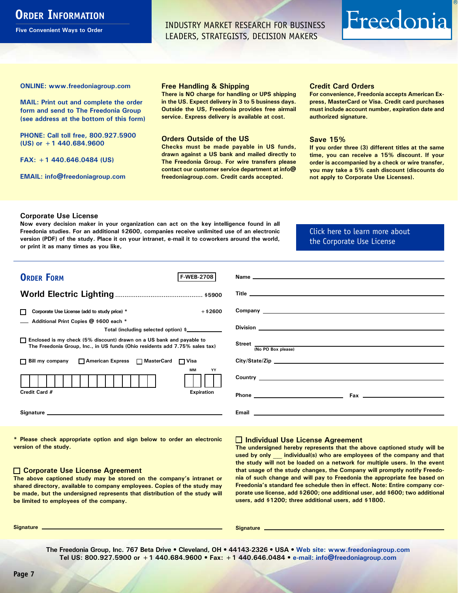# <span id="page-6-0"></span>**ORDER INFORMATION**

**Five Convenient Ways to Order**

INDUSTRY MARKET RESEARCH FOR BUSINESS LEADERS, STRATEGISTS, DECISION MAKERS

# Freedonia

**ONLINE: [www.freedoniagroup.com](http://www.freedoniagroup.com/DocumentDetails.aspx?Referrerid=FM-Bro&StudyID=2708)**

**MAIL: Print out and complete the order form and send to The Freedonia Group (see address at the bottom of this form)**

**PHONE: Call toll free, 800.927.5900 (US) or +1 440.684.9600**

**FAX: +1 440.646.0484 (US)**

**EMAIL: [info@freedoniagroup.com](mailto:info@freedoniagroup.com)**

#### **Free Handling & Shipping**

**There is NO charge for handling or UPS shipping in the US. Expect delivery in 3 to 5 business days. Outside the US, Freedonia provides free airmail service. Express delivery is available at cost.**

#### **Orders Outside of the US**

**Checks must be made payable in US funds, drawn against a US bank and mailed directly to The Freedonia Group. For wire transfers please contact our customer service department at info@ freedoniagroup.com. Credit cards accepted.**

#### **Credit Card Orders**

**For convenience, Freedonia accepts American Express, MasterCard or Visa. Credit card purchases must include account number, expiration date and authorized signature.**

#### **Save 15%**

**If you order three (3) different titles at the same time, you can receive a 15% discount. If your order is accompanied by a check or wire transfer, you may take a 5% cash discount (discounts do not apply to Corporate Use Licenses).**

#### **Corporate Use License**

**Now every decision maker in your organization can act on the key intelligence found in all Freedonia studies. For an additional \$2600, companies receive unlimited use of an electronic version (PDF) of the study. Place it on your intranet, e-mail it to coworkers around the world, or print it as many times as you like,** 

[Click here to learn more about](http://www.freedoniagroup.com/pdf/FreedoniaCULBro.pdf)  [the Corporate Use License](http://www.freedoniagroup.com/pdf/FreedoniaCULBro.pdf)

| <b>ORDER FORM</b><br><b>F-WEB-2708</b>                                                                                                                                                                                         |                                       |
|--------------------------------------------------------------------------------------------------------------------------------------------------------------------------------------------------------------------------------|---------------------------------------|
|                                                                                                                                                                                                                                |                                       |
|                                                                                                                                                                                                                                |                                       |
|                                                                                                                                                                                                                                |                                       |
| Corporate Use License (add to study price) *<br>$+$ \$2600                                                                                                                                                                     |                                       |
| Additional Print Copies @ \$600 each *                                                                                                                                                                                         |                                       |
| Total (including selected option) \$____________                                                                                                                                                                               |                                       |
| □ Enclosed is my check (5% discount) drawn on a US bank and payable to<br>The Freedonia Group, Inc., in US funds (Ohio residents add 7.75% sales tax)                                                                          | Street $\frac{1}{(No PO Box please)}$ |
|                                                                                                                                                                                                                                |                                       |
| □ Bill my company □ American Express □ MasterCard □ Visa                                                                                                                                                                       |                                       |
| <b>MM</b><br>YY                                                                                                                                                                                                                |                                       |
|                                                                                                                                                                                                                                |                                       |
| Credit Card #<br><b>Expiration</b>                                                                                                                                                                                             |                                       |
|                                                                                                                                                                                                                                |                                       |
| Signature experience and the state of the state of the state of the state of the state of the state of the state of the state of the state of the state of the state of the state of the state of the state of the state of th |                                       |
|                                                                                                                                                                                                                                |                                       |

**\* Please check appropriate option and sign below to order an electronic version of the study.**

#### **Corporate Use License Agreement**

**The above captioned study may be stored on the company's intranet or shared directory, available to company employees. Copies of the study may be made, but the undersigned represents that distribution of the study will be limited to employees of the company.**

#### **Individual Use License Agreement**

**The undersigned hereby represents that the above captioned study will be used by only \_\_\_ individual(s) who are employees of the company and that the study will not be loaded on a network for multiple users. In the event that usage of the study changes, the Company will promptly notify Freedonia of such change and will pay to Freedonia the appropriate fee based on Freedonia's standard fee schedule then in effect. Note: Entire company corporate use license, add \$2600; one additional user, add \$600; two additional users, add \$1200; three additional users, add \$1800.**

**Signature Signature**

**The Freedonia Group, Inc. 767 Beta Drive • Cleveland, OH • 44143-2326 • USA • [Web site: www.freedoniagroup.com](http://www.freedoniagroup.com/Home.aspx?ReferrerId=FM-Bro) Tel US: 800.927.5900 or +1 440.684.9600 • Fax: +1 440.646.0484 • [e-mail: info@freedoniagroup.com](mailto:info@freedoniagroup.com)**